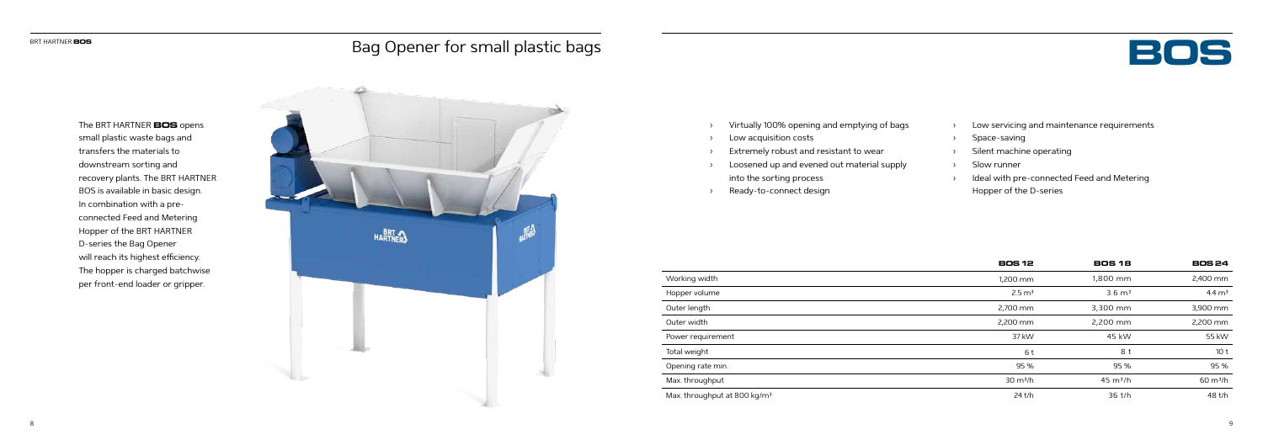## Bag Opener for small plastic bags **Bag Opener for small plastic bags**



- › Virtually 100% opening and emptying of bags
- Low acquisition costs
- Extremely robust and resistant to wear
- › Loosened up and evened out material supply into the sorting process
- Ready-to-connect design

The BRT HARTNER **BOS** opens small plastic waste bags and transfers the materials to downstream sorting and recovery plants. The BRT HARTNER BOS is available in basic design. In combination with a preconnected Feed and Metering Hopper of the BRT HARTNER D-series the Bag Opener will reach its highest efficiency. The hopper is charged batchwise per front-end loader or gripper.

|                                          | <b>BOS 12</b>      | <b>BOS 18</b>      | <b>BOS 24</b>      |
|------------------------------------------|--------------------|--------------------|--------------------|
| Working width                            | 1,200 mm           | 1,800 mm           | 2,400 mm           |
| Hopper volume                            | $2.5 \text{ m}^3$  | $3.6 \text{ m}^3$  | $4.4 \text{ m}^3$  |
| Outer length                             | 2,700 mm           | 3,300 mm           | 3,900 mm           |
| Outer width                              | 2,200 mm           | 2,200 mm           | 2,200 mm           |
| Power requirement                        | 37 kW              | 45 kW              | 55 kW              |
| Total weight                             | 6t                 | 8 t                | 10 <sub>t</sub>    |
| Opening rate min.                        | 95 %               | 95 %               | 95%                |
| Max. throughput                          | $30 \text{ m}^3/h$ | $45 \text{ m}^3/h$ | $60 \text{ m}^3/h$ |
| Max. throughput at 800 kg/m <sup>3</sup> | 24 t/h             | 36 t/h             | 48 t/h             |



- › Low servicing and maintenance requirements
- › Space-saving
- › Silent machine operating
- › Slow runner
- › Ideal with pre-connected Feed and Metering Hopper of the D-series